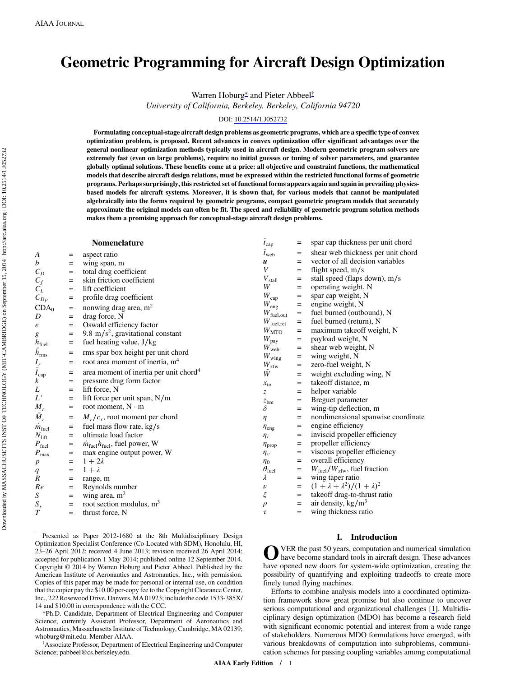# Geometric Programming for Aircraft Design Optimization

Warren Hoburg<sup>∗</sup> and Pieter Abbeel†

University of California, Berkeley, Berkeley, California 94720

# DOI: [10.2514/1.J052732](http://dx.doi.org/10.2514/1.J052732)

Formulating conceptual-stage aircraft design problems as geometric programs, which are a specific type of convex optimization problem, is proposed. Recent advances in convex optimization offer significant advantages over the general nonlinear optimization methods typically used in aircraft design. Modern geometric program solvers are extremely fast (even on large problems), require no initial guesses or tuning of solver parameters, and guarantee globally optimal solutions. These benefits come at a price: all objective and constraint functions, the mathematical models that describe aircraft design relations, must be expressed within the restricted functional forms of geometric programs. Perhaps surprisingly, this restricted set of functional forms appears again and again in prevailing physicsbased models for aircraft systems. Moreover, it is shown that, for various models that cannot be manipulated algebraically into the forms required by geometric programs, compact geometric program models that accurately approximate the original models can often be fit. The speed and reliability of geometric program solution methods makes them a promising approach for conceptual-stage aircraft design problems.

|                                                |     | Nomenclature                                           | $\bar{t}_{\text{cap}}$ | $=$               | spar cap thickness per unit chord                |
|------------------------------------------------|-----|--------------------------------------------------------|------------------------|-------------------|--------------------------------------------------|
| А                                              | $=$ | aspect ratio                                           | $t_{\rm web}$          | $=$               | shear web thickness per unit chord               |
| b                                              | $=$ | wing span, m                                           | $\boldsymbol{u}$       | $=$               | vector of all decision variables                 |
| $C_D$                                          | $=$ | total drag coefficient                                 | $\boldsymbol{V}$       | $=$               | flight speed, $m/s$                              |
| $C_f$                                          | $=$ | skin friction coefficient                              | $V_{\text{stall}}$     | $=$               | stall speed (flaps down), m/s                    |
| $C_L$                                          | $=$ | lift coefficient                                       | W                      | $=$               | operating weight, N                              |
| $C_{Dp}$                                       | $=$ | profile drag coefficient                               | $W_{\text{cap}}$       | $=$               | spar cap weight, N                               |
| CDA <sub>0</sub>                               | $=$ | nonwing drag area, m <sup>2</sup>                      | $W_{\rm eng}$          | $=$               | engine weight, N                                 |
| D                                              | $=$ | drag force, N                                          | $W_{\text{fuel,out}}$  | $=$               | fuel burned (outbound), N                        |
| $\boldsymbol{e}$                               | $=$ | Oswald efficiency factor                               | $W_{\text{fuel,ret}}$  | $=$               | fuel burned (return), N                          |
| g                                              | $=$ | 9.8 m/s <sup>2</sup> , gravitational constant          | $W_{\rm MTO}$          | $=$               | maximum takeoff weight, N                        |
|                                                | $=$ | fuel heating value, J/kg                               | $W_{\text{pay}}$       | $\qquad \qquad =$ | payload weight, N                                |
| $\frac{h_{\text{fuel}}}{\bar{h}_{\text{rms}}}$ | $=$ | rms spar box height per unit chord                     | $W_{\rm web}$          | $=$               | shear web weight, N                              |
|                                                |     |                                                        | $W_{\rm wing}$         | $=$               | wing weight, N                                   |
| $I_r$<br>$\bar{I}_{cap}$                       | $=$ | root area moment of inertia, m <sup>4</sup>            | $W_{\rm zfw}$          | $=$               | zero-fuel weight, N                              |
|                                                | $=$ | area moment of inertia per unit chord <sup>4</sup>     | Ŵ                      | $=$               | weight excluding wing, N                         |
| k                                              | $=$ | pressure drag form factor                              | $x_{\text{to}}$        | $=$               | takeoff distance, m                              |
| L                                              | $=$ | lift force, N                                          | $\mathcal{Z}$          | $=$               | helper variable                                  |
| $L^{\,\prime}$                                 | $=$ | lift force per unit span, N/m                          | z <sub>bre</sub>       | $=$               | Breguet parameter                                |
| $M_r$                                          | $=$ | root moment, $N \cdot m$                               | δ                      | $=$               | wing-tip deflection, m                           |
| $\bar{M}_r$                                    | $=$ | $M_r/c_r$ , root moment per chord                      | $\eta$                 | $=$               | nondimensional spanwise coordinate               |
| $m_{\text{fuel}}$                              | $=$ | fuel mass flow rate, kg/s                              | $\eta_{\rm eng}$       | $=$               | engine efficiency                                |
| $N_{\mathrm{lift}}$                            | $=$ | ultimate load factor                                   | $\eta_i$               | $=$               | inviscid propeller efficiency                    |
| $P_{\text{fuel}}$                              | $=$ | $\dot{m}_{\text{fuel}}h_{\text{fuel}}$ , fuel power, W | $\eta_{\text{prop}}$   | $=$               | propeller efficiency                             |
| $P_{\rm max}$                                  | $=$ | max engine output power, W                             | $\eta_v$               | $=$               | viscous propeller efficiency                     |
| р                                              | $=$ | $1+2\lambda$                                           | $\eta_0$               | $=$               | overall efficiency                               |
| $\it q$                                        | $=$ | $1 + \lambda$                                          | $\theta_{\text{fuel}}$ | $=$               | $W_{\text{fuel}}/W_{\text{zfw}}$ , fuel fraction |
| R                                              | $=$ | range, m                                               | λ                      | $=$               | wing taper ratio                                 |
| Re                                             | $=$ | Reynolds number                                        | $\boldsymbol{\nu}$     | $=$               | $(1 + \lambda + \lambda^2)/(1 + \lambda)^2$      |
| S                                              | $=$ | wing area, $m2$                                        | $\xi$                  | $=$               | takeoff drag-to-thrust ratio                     |
| $S_r$                                          | $=$ | root section modulus, m <sup>3</sup>                   | $\rho$                 | $=$               | air density, $\text{kg/m}^3$                     |
| T                                              | $=$ | thrust force, N                                        | $\tau$                 | $=$               | wing thickness ratio                             |

Presented as Paper 2012-1680 at the 8th Multidisciplinary Design Optimization Specialist Conference (Co-Located with SDM), Honolulu, HI, 23–26 April 2012; received 4 June 2013; revision received 26 April 2014; accepted for publication 1 May 2014; published online 12 September 2014. Copyright © 2014 by Warren Hoburg and Pieter Abbeel. Published by the American Institute of Aeronautics and Astronautics, Inc., with permission. Copies of this paper may be made for personal or internal use, on condition that the copier pay the \$10.00 per-copy fee to the Copyright Clearance Center, Inc., 222 Rosewood Drive, Danvers, MA 01923; include the code 1533-385X/ 14 and \$10.00 in correspondence with the CCC.

\*Ph.D. Candidate, Department of Electrical Engineering and Computer Science; currently Assistant Professor, Department of Aeronautics and Astronautics, Massachusetts Institute of Technology, Cambridge, MA 02139; whoburg@mit.edu. Member AIAA. †

Associate Professor, Department of Electrical Engineering and Computer Science; pabbeel@cs.berkeley.edu.

# I. Introduction

O VER the past 50 years, computation and numerical simulation<br>have become standard tools in aircraft design. These advances have opened new doors for system-wide optimization, creating the possibility of quantifying and exploiting tradeoffs to create more finely tuned flying machines.

Efforts to combine analysis models into a coordinated optimization framework show great promise but also continue to uncover serious computational and organizational challenges [[1](#page-11-0)]. Multidisciplinary design optimization (MDO) has become a research field with significant economic potential and interest from a wide range of stakeholders. Numerous MDO formulations have emerged, with various breakdowns of computation into subproblems, communication schemes for passing coupling variables among computational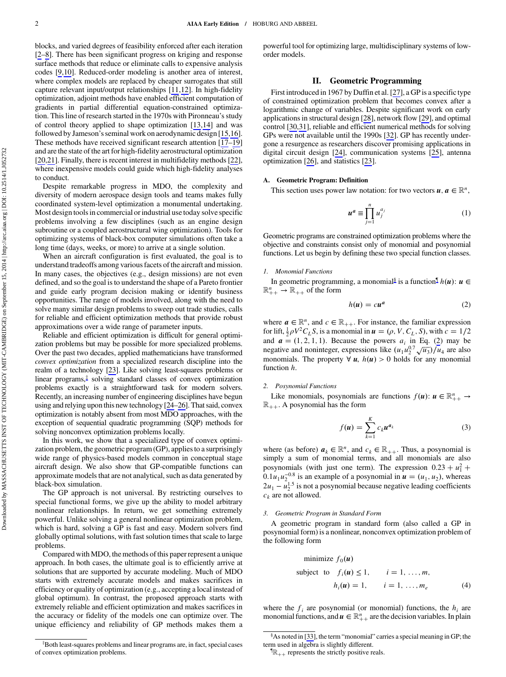blocks, and varied degrees of feasibility enforced after each iteration [\[2](#page-11-0)–[8\]](#page-11-0). There has been significant progress on kriging and response surface methods that reduce or eliminate calls to expensive analysis codes [\[9,10\]](#page-11-0). Reduced-order modeling is another area of interest, where complex models are replaced by cheaper surrogates that still capture relevant input/output relationships [[11,12](#page-11-0)]. In high-fidelity optimization, adjoint methods have enabled efficient computation of gradients in partial differential equation-constrained optimization. This line of research started in the 1970s with Pironneau's study of control theory applied to shape optimization [\[13,14](#page-12-0)] and was followed by Jameson's seminal work on aerodynamic design [\[15,16](#page-12-0)]. These methods have received significant research attention [\[17](#page-12-0)–[19\]](#page-12-0) and are the state of the art for high-fidelity aerostructural optimization [\[20](#page-12-0),[21\]](#page-12-0). Finally, there is recent interest in multifidelity methods [\[22](#page-12-0)], where inexpensive models could guide which high-fidelity analyses to conduct.

Despite remarkable progress in MDO, the complexity and diversity of modern aerospace design tools and teams makes fully coordinated system-level optimization a monumental undertaking. Most design tools in commercial or industrial use today solve specific problems involving a few disciplines (such as an engine design subroutine or a coupled aerostructural wing optimization). Tools for optimizing systems of black-box computer simulations often take a long time (days, weeks, or more) to arrive at a single solution.

When an aircraft configuration is first evaluated, the goal is to understand tradeoffs among various facets of the aircraft and mission. In many cases, the objectives (e.g., design missions) are not even defined, and so the goal is to understand the shape of a Pareto frontier and guide early program decision making or identify business opportunities. The range of models involved, along with the need to solve many similar design problems to sweep out trade studies, calls for reliable and efficient optimization methods that provide robust approximations over a wide range of parameter inputs.

Reliable and efficient optimization is difficult for general optimization problems but may be possible for more specialized problems. Over the past two decades, applied mathematicians have transformed convex optimization from a specialized research discipline into the realm of a technology [\[23](#page-12-0)]. Like solving least-squares problems or linear programs,‡ solving standard classes of convex optimization problems exactly is a straightforward task for modern solvers. Recently, an increasing number of engineering disciplines have begun using and relying upon this new technology [[24](#page-12-0)–[26](#page-12-0)]. That said, convex optimization is notably absent from most MDO approaches, with the exception of sequential quadratic programming (SQP) methods for solving nonconvex optimization problems locally.

In this work, we show that a specialized type of convex optimization problem, the geometric program (GP), applies to a surprisingly wide range of physics-based models common in conceptual stage aircraft design. We also show that GP-compatible functions can approximate models that are not analytical, such as data generated by black-box simulation.

The GP approach is not universal. By restricting ourselves to special functional forms, we give up the ability to model arbitrary nonlinear relationships. In return, we get something extremely powerful. Unlike solving a general nonlinear optimization problem, which is hard, solving a GP is fast and easy. Modern solvers find globally optimal solutions, with fast solution times that scale to large problems.

Compared with MDO, the methods of this paper represent a unique approach. In both cases, the ultimate goal is to efficiently arrive at solutions that are supported by accurate modeling. Much of MDO starts with extremely accurate models and makes sacrifices in efficiency or quality of optimization (e.g., accepting a local instead of global optimum). In contrast, the proposed approach starts with extremely reliable and efficient optimization and makes sacrifices in the accuracy or fidelity of the models one can optimize over. The unique efficiency and reliability of GP methods makes them a

‡ Both least-squares problems and linear programs are, in fact, special cases of convex optimization problems.

powerful tool for optimizing large, multidisciplinary systems of loworder models.

# II. Geometric Programming

First introduced in 1967 by Duffin et al. [[27\]](#page-12-0), a GP is a specific type of constrained optimization problem that becomes convex after a logarithmic change of variables. Despite significant work on early applications in structural design [\[28](#page-12-0)], network flow [\[29](#page-12-0)], and optimal control [\[30](#page-12-0),[31\]](#page-12-0), reliable and efficient numerical methods for solving GPs were not available until the 1990s [[32\]](#page-12-0). GP has recently undergone a resurgence as researchers discover promising applications in digital circuit design [\[24](#page-12-0)], communication systems [[25\]](#page-12-0), antenna optimization [\[26](#page-12-0)], and statistics [\[23](#page-12-0)].

#### A. Geometric Program: Definition

This section uses power law notation: for two vectors  $u, a \in \mathbb{R}^n$ ,

$$
u^a \equiv \prod_{j=1}^n u_j^{a_j} \tag{1}
$$

Geometric programs are constrained optimization problems where the objective and constraints consist only of monomial and posynomial functions. Let us begin by defining these two special function classes.

#### 1. Monomial Functions

In geometric programming, a monomial<sup>§</sup> is a function  $\nparallel h(u)$ :  $u \in$  $\mathbb{R}_{++}^n \to \mathbb{R}_{++}$  of the form

$$
h(u) = cu^a \tag{2}
$$

where  $a \in \mathbb{R}^n$ , and  $c \in \mathbb{R}_{++}$ . For instance, the familiar expression for lift,  $\frac{1}{2}\rho V^2 C_L S$ , is a monomial in  $\boldsymbol{u} = (\rho, V, C_L, S)$ , with  $c = 1/2$ and  $a = (1, 2, 1, 1)$ . Because the powers  $a_i$  in Eq. (2) may be negative and noninteger, expressions like  $(u_1u_2^{0.7}\sqrt{u_3})/u_4$  are also monomials. The property  $\forall u, h(u) > 0$  holds for any monomial function *h*.

# 2. Posynomial Functions

Like monomials, posynomials are functions  $f(u)$ :  $u \in \mathbb{R}_{++}^n \to$  $\mathbb{R}_{++}$ . A posynomial has the form

$$
f(u) = \sum_{k=1}^{K} c_k u^{a_k} \tag{3}
$$

where (as before)  $a_k \in \mathbb{R}^n$ , and  $c_k \in \mathbb{R}_{++}$ . Thus, a posynomial is simply a sum of monomial terms, and all monomials are also posynomials (with just one term). The expression  $0.23 + u_1^2$  +  $0.1u_1u_2^{-0.8}$  is an example of a posynomial in  $\mathbf{u} = (u_1, u_2)$ , whereas  $2u_1 - u_2^{1.5}$  is not a posynomial because negative leading coefficients  $c_k$  are not allowed.

#### 3. Geometric Program in Standard Form

A geometric program in standard form (also called a GP in posynomial form) is a nonlinear, nonconvex optimization problem of the following form

minimize 
$$
f_0(\mathbf{u})
$$
  
\nsubject to  $f_i(\mathbf{u}) \le 1$ ,  $i = 1, ..., m$ ,  
\n $h_i(\mathbf{u}) = 1$ ,  $i = 1, ..., m_e$  (4)

where the  $f_i$  are posynomial (or monomial) functions, the  $h_i$  are monomial functions, and  $u \in \mathbb{R}_{++}^n$  are the decision variables. In plain

<sup>§</sup> As noted in [[33\]](#page-12-0), the term "monomial" carries a special meaning in GP; the term used in algebra is slightly different.

 $\P$ <sub>R++</sub> represents the strictly positive reals.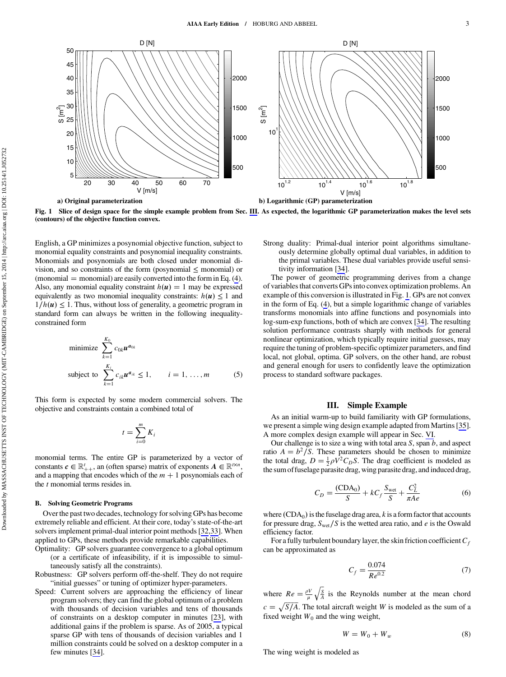<span id="page-2-0"></span>

Fig. 1 Slice of design space for the simple example problem from Sec. III. As expected, the logarithmic GP parameterization makes the level sets (contours) of the objective function convex.

English, a GP minimizes a posynomial objective function, subject to monomial equality constraints and posynomial inequality constraints. Monomials and posynomials are both closed under monomial division, and so constraints of the form (posynomial  $\leq$  monomial) or  $(monomial = monomial)$  are easily converted into the form in Eq. (4). Also, any monomial equality constraint  $h(u) = 1$  may be expressed equivalently as two monomial inequality constraints:  $h(u) \leq 1$  and  $1/h(u) \leq 1$ . Thus, without loss of generality, a geometric program in standard form can always be written in the following inequalityconstrained form

minimize 
$$
\sum_{k=1}^{K_0} c_{0k} \mathbf{u}^{a_{0k}}
$$
  
subject to 
$$
\sum_{k=1}^{K_i} c_{ik} \mathbf{u}^{a_{ik}} \le 1, \qquad i = 1, ..., m
$$
 (5)

This form is expected by some modern commercial solvers. The objective and constraints contain a combined total of

$$
t = \sum_{i=0}^{m} K_i
$$

monomial terms. The entire GP is parameterized by a vector of constants  $c \in \mathbb{R}_{++}^t$ , an (often sparse) matrix of exponents  $A \in \mathbb{R}^{t \times n}$ , and a mapping that encodes which of the  $m + 1$  posynomials each of the *t* monomial terms resides in.

# B. Solving Geometric Programs

Over the past two decades, technology for solving GPs has become extremely reliable and efficient. At their core, today's state-of-the-art solvers implement primal-dual interior point methods [\[32,33](#page-12-0)]. When applied to GPs, these methods provide remarkable capabilities.

- Optimality: GP solvers guarantee convergence to a global optimum (or a certificate of infeasibility, if it is impossible to simultaneously satisfy all the constraints).
- Robustness: GP solvers perform off-the-shelf. They do not require "initial guesses" or tuning of optimizer hyper-parameters.
- Speed: Current solvers are approaching the efficiency of linear program solvers; they can find the global optimum of a problem with thousands of decision variables and tens of thousands of constraints on a desktop computer in minutes [[23\]](#page-12-0), with additional gains if the problem is sparse. As of 2005, a typical sparse GP with tens of thousands of decision variables and 1 million constraints could be solved on a desktop computer in a few minutes [[34\]](#page-12-0).

Strong duality: Primal-dual interior point algorithms simultaneously determine globally optimal dual variables, in addition to the primal variables. These dual variables provide useful sensitivity information [\[34](#page-12-0)].

The power of geometric programming derives from a change of variables that converts GPs into convex optimization problems. An example of this conversion is illustrated in Fig. 1. GPs are not convex in the form of Eq. (4), but a simple logarithmic change of variables transforms monomials into affine functions and posynomials into log-sum-exp functions, both of which are convex [[34\]](#page-12-0). The resulting solution performance contrasts sharply with methods for general nonlinear optimization, which typically require initial guesses, may require the tuning of problem-specific optimizer parameters, and find local, not global, optima. GP solvers, on the other hand, are robust and general enough for users to confidently leave the optimization process to standard software packages.

# III. Simple Example

As an initial warm-up to build familiarity with GP formulations, we present a simple wing design example adapted from Martins [\[35](#page-12-0)]. A more complex design example will appear in Sec. [VI.](#page-9-0)

Our challenge is to size a wing with total area *S*, span *b*, and aspect ratio  $A = b^2/S$ . These parameters should be chosen to minimize the total drag,  $D = \frac{1}{2}\rho V^2 C_D S$ . The drag coefficient is modeled as the sum of fuselage parasite drag, wing parasite drag, and induced drag,

$$
C_D = \frac{(CDA_0)}{S} + kC_f \frac{S_{\text{wet}}}{S} + \frac{C_L^2}{\pi Ae}
$$
 (6)

where  $(CDA<sub>0</sub>)$  is the fuselage drag area, *k* is a form factor that accounts for pressure drag, *S*wet∕*S* is the wetted area ratio, and *e* is the Oswald efficiency factor.

For a fully turbulent boundary layer, the skin friction coefficient  $C_f$ can be approximated as

$$
C_f = \frac{0.074}{Re^{0.2}}
$$
 (7)

where  $Re = \frac{\rho V}{\mu}$ -- *S A*  $\overline{1}$ is the Reynolds number at the mean chord  $c = \sqrt{\frac{S}{A}}$ . The total aircraft weight *W* is modeled as the sum of a fixed weight  $W_0$  and the wing weight,

$$
W = W_0 + W_w \tag{8}
$$

The wing weight is modeled as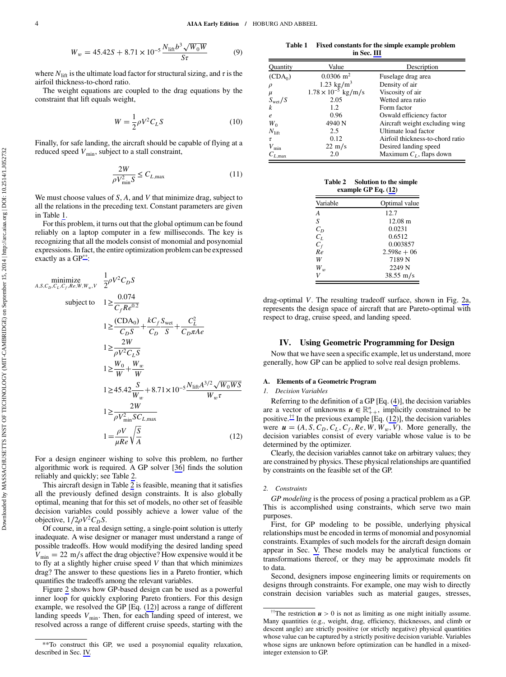$$
W_w = 45.42S + 8.71 \times 10^{-5} \frac{N_{\text{lift}} b^3 \sqrt{W_0 W}}{S\tau}
$$
 (9)

where  $N_{\text{lift}}$  is the ultimate load factor for structural sizing, and  $\tau$  is the airfoil thickness-to-chord ratio.

The weight equations are coupled to the drag equations by the constraint that lift equals weight,

$$
W = \frac{1}{2}\rho V^2 C_L S \tag{10}
$$

Finally, for safe landing, the aircraft should be capable of flying at a reduced speed  $V_{\text{min}}$ , subject to a stall constraint,

$$
\frac{2W}{\rho V_{\min}^2 S} \le C_{L, \max} \tag{11}
$$

We must choose values of *S*, *A*, and *V* that minimize drag, subject to all the relations in the preceding text. Constant parameters are given in Table 1.

For this problem, it turns out that the global optimum can be found reliably on a laptop computer in a few milliseconds. The key is recognizing that all the models consist of monomial and posynomial expressions. In fact, the entire optimization problem can be expressed exactly as a GP\*\*:

$$
\begin{aligned}\n\text{minimize} & \frac{1}{2} \rho V^2 C_D S \\
\text{subject to} & 1 \ge \frac{0.074}{C_f R e^{0.2}} \\
1 &\ge \frac{(\text{CDA}_0)}{C_D S} + \frac{k C_f S_{\text{wet}}}{C_D S} + \frac{C_L^2}{C_D \pi A e} \\
1 &\ge \frac{2W}{\rho V^2 C_L S} \\
1 &\ge \frac{W_0}{W} + \frac{W_w}{W} \\
1 &\ge 45.42 \frac{S}{W_w} + 8.71 \times 10^{-5} \frac{N_{\text{lift}} A^{3/2} \sqrt{W_0 W S}}{W_w \tau} \\
1 &\ge \frac{2W}{\rho V_{\text{min}}^2 S C_{L,\text{max}}} \\
1 &= \frac{\rho V}{\mu R e} \sqrt{\frac{S}{A}} \n\end{aligned} \tag{12}
$$

For a design engineer wishing to solve this problem, no further algorithmic work is required. A GP solver [[36\]](#page-12-0) finds the solution reliably and quickly; see Table 2.

This aircraft design in Table 2 is feasible, meaning that it satisfies all the previously defined design constraints. It is also globally optimal, meaning that for this set of models, no other set of feasible decision variables could possibly achieve a lower value of the objective,  $1/2\rho V^2C_D S$ .

Of course, in a real design setting, a single-point solution is utterly inadequate. A wise designer or manager must understand a range of possible tradeoffs. How would modifying the desired landing speed *V*<sub>min</sub> = 22 m/s affect the drag objective? How expensive would it be to fly at a slightly higher cruise speed *V* than that which minimizes drag? The answer to these questions lies in a Pareto frontier, which quantifies the tradeoffs among the relevant variables.

Figure [2](#page-4-0) shows how GP-based design can be used as a powerful inner loop for quickly exploring Pareto frontiers. For this design example, we resolved the GP [Eq. (12)] across a range of different landing speeds  $V_{\text{min}}$ . Then, for each landing speed of interest, we resolved across a range of different cruise speeds, starting with the

Table 1 Fixed constants for the simple example problem in Sec. [III](#page-2-0)

| Quantity            | Value                        | Description                      |
|---------------------|------------------------------|----------------------------------|
| (CDA <sub>0</sub> ) | $0.0306$ m <sup>2</sup>      | Fuselage drag area               |
| $\rho$              | 1.23 kg/m <sup>3</sup>       | Density of air                   |
| $\mu$               | $1.78 \times 10^{-5}$ kg/m/s | Viscosity of air                 |
| S <sub>wet</sub> /S | 2.05                         | Wetted area ratio                |
| $\boldsymbol{k}$    | 1.2                          | Form factor                      |
| $\boldsymbol{e}$    | 0.96                         | Oswald efficiency factor         |
| $W_0$               | 4940 N                       | Aircraft weight excluding wing   |
| $N_{\text{lift}}$   | 2.5                          | Ultimate load factor             |
| τ                   | 0.12                         | Airfoil thickness-to-chord ratio |
| $V_{\rm min}$       | $22 \text{ m/s}$             | Desired landing speed            |
| $C_{L, \text{max}}$ | 2.0                          | Maximum $C_L$ , flaps down       |

Table 2 Solution to the simple example GP Eq. (12)

| Variable       | Optimal value       |
|----------------|---------------------|
| $\overline{A}$ | 12.7                |
| S              | $12.08 \text{ m}$   |
| $C_D$          | 0.0231              |
| $C_L$          | 0.6512              |
| $C_f$          | 0.003857            |
| Re             | $2.598e + 06$       |
| W              | 7189 <sub>N</sub>   |
| $W_{w}$        | 2249 N              |
|                | $38.55 \text{ m/s}$ |
|                |                     |

drag-optimal *V*. The resulting tradeoff surface, shown in Fig. [2a](#page-4-0), represents the design space of aircraft that are Pareto-optimal with respect to drag, cruise speed, and landing speed.

### IV. Using Geometric Programming for Design

Now that we have seen a specific example, let us understand, more generally, how GP can be applied to solve real design problems.

# A. Elements of a Geometric Program

#### 1. Decision Variables

Referring to the definition of a GP [Eq. (4)], the decision variables are a vector of unknowns  $u \in \mathbb{R}_{++}^n$ , implicitly constrained to be positive.<sup>††</sup> In the previous example [Eq.  $(12)$ ], the decision variables were  $\mathbf{u} = (A, S, C_D, C_L, C_f, Re, W, W_w, V)$ . More generally, the decision variables consist of every variable whose value is to be determined by the optimizer.

Clearly, the decision variables cannot take on arbitrary values; they are constrained by physics. These physical relationships are quantified by constraints on the feasible set of the GP.

#### 2. Constraints

GP modeling is the process of posing a practical problem as a GP. This is accomplished using constraints, which serve two main purposes.

First, for GP modeling to be possible, underlying physical relationships must be encoded in terms of monomial and posynomial constraints. Examples of such models for the aircraft design domain appear in Sec. [V.](#page-4-0) These models may be analytical functions or transformations thereof, or they may be approximate models fit to data.

Second, designers impose engineering limits or requirements on designs through constraints. For example, one may wish to directly constrain decision variables such as material gauges, stresses,

<sup>\*\*</sup>To construct this GP, we used a posynomial equality relaxation, described in Sec. IV.

<sup>&</sup>lt;sup>††</sup>The restriction  $u > 0$  is not as limiting as one might initially assume. Many quantities (e.g., weight, drag, efficiency, thicknesses, and climb or descent angle) are strictly positive (or strictly negative) physical quantities whose value can be captured by a strictly positive decision variable. Variables whose signs are unknown before optimization can be handled in a mixedinteger extension to GP.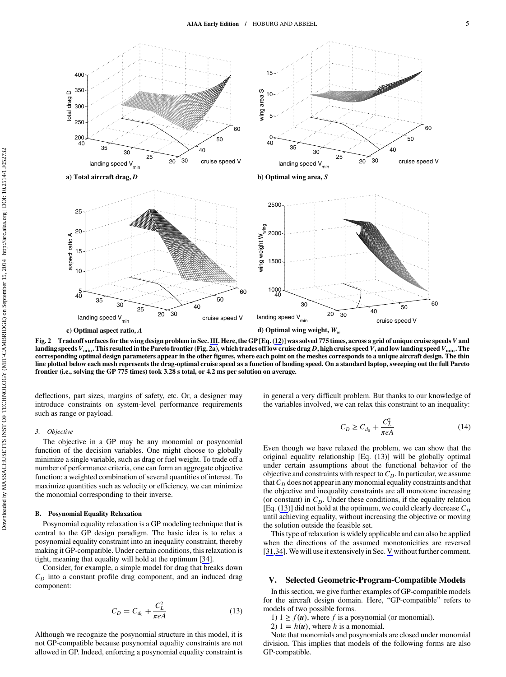<span id="page-4-0"></span>

Fig. 2 Tradeoff surfaces for the wing design problem in Sec. [III](#page-2-0). Here, the GP [Eq. (12)] was solved 775 times, across a grid of unique cruise speeds*V* and landing speeds  $V_{\text{min}}$ . This resulted in the Pareto frontier (Fig. 2a), which trades off low cruise drag *D*, high cruise speed *V*, and low landing speed *V*<sub>min</sub>. The corresponding optimal design parameters appear in the other figures, where each point on the meshes corresponds to a unique aircraft design. The thin line plotted below each mesh represents the drag-optimal cruise speed as a function of landing speed. On a standard laptop, sweeping out the full Pareto frontier (i.e., solving the GP 775 times) took 3.28 s total, or 4.2 ms per solution on average.

deflections, part sizes, margins of safety, etc. Or, a designer may introduce constraints on system-level performance requirements such as range or payload.

#### 3. Objective

The objective in a GP may be any monomial or posynomial function of the decision variables. One might choose to globally minimize a single variable, such as drag or fuel weight. To trade off a number of performance criteria, one can form an aggregate objective function: a weighted combination of several quantities of interest. To maximize quantities such as velocity or efficiency, we can minimize the monomial corresponding to their inverse.

#### B. Posynomial Equality Relaxation

Posynomial equality relaxation is a GP modeling technique that is central to the GP design paradigm. The basic idea is to relax a posynomial equality constraint into an inequality constraint, thereby making it GP-compatible. Under certain conditions, this relaxation is tight, meaning that equality will hold at the optimum [\[34](#page-12-0)].

Consider, for example, a simple model for drag that breaks down  $C_D$  into a constant profile drag component, and an induced drag component:

$$
C_D = C_{d_0} + \frac{C_L^2}{\pi e A}
$$
 (13)

Although we recognize the posynomial structure in this model, it is not GP-compatible because posynomial equality constraints are not allowed in GP. Indeed, enforcing a posynomial equality constraint is in general a very difficult problem. But thanks to our knowledge of the variables involved, we can relax this constraint to an inequality:

$$
C_D \ge C_{d_0} + \frac{C_L^2}{\pi e A} \tag{14}
$$

Even though we have relaxed the problem, we can show that the original equality relationship [Eq. (13)] will be globally optimal under certain assumptions about the functional behavior of the objective and constraints with respect to  $C<sub>D</sub>$ . In particular, we assume that  $C_D$  does not appear in any monomial equality constraints and that the objective and inequality constraints are all monotone increasing (or constant) in  $C_D$ . Under these conditions, if the equality relation [Eq. (13)] did not hold at the optimum, we could clearly decrease  $C_D$ until achieving equality, without increasing the objective or moving the solution outside the feasible set.

This type of relaxation is widely applicable and can also be applied when the directions of the assumed monotonicities are reversed [\[31](#page-12-0),[34\]](#page-12-0).We will use it extensively in Sec. V without further comment.

### V. Selected Geometric-Program-Compatible Models

In this section, we give further examples of GP-compatible models for the aircraft design domain. Here, "GP-compatible" refers to models of two possible forms.

- 1)  $1 \ge f(u)$ , where *f* is a posynomial (or monomial).
- 2)  $1 = h(u)$ , where *h* is a monomial.

Note that monomials and posynomials are closed under monomial division. This implies that models of the following forms are also GP-compatible.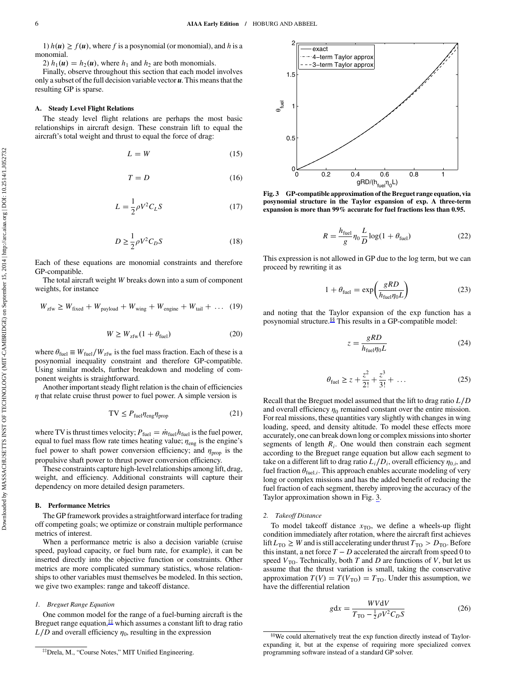<span id="page-5-0"></span>1)  $h(u) \ge f(u)$ , where f is a posynomial (or monomial), and h is a monomial.

2)  $h_1(\mathbf{u}) = h_2(\mathbf{u})$ , where  $h_1$  and  $h_2$  are both monomials.

Finally, observe throughout this section that each model involves only a subset of the full decision variable vector *u*. This means that the resulting GP is sparse.

### A. Steady Level Flight Relations

The steady level flight relations are perhaps the most basic relationships in aircraft design. These constrain lift to equal the aircraft's total weight and thrust to equal the force of drag:

$$
L = W \tag{15}
$$

$$
T = D \tag{16}
$$

$$
L = \frac{1}{2}\rho V^2 C_L S \tag{17}
$$

$$
D \ge \frac{1}{2}\rho V^2 C_D S \tag{18}
$$

Each of these equations are monomial constraints and therefore GP-compatible.

The total aircraft weight *W* breaks down into a sum of component weights, for instance

$$
W_{\text{zfw}} \ge W_{\text{fixed}} + W_{\text{payload}} + W_{\text{wing}} + W_{\text{engine}} + W_{\text{tail}} + \dots (19)
$$

$$
W \ge W_{\rm zfw}(1 + \theta_{\rm fuel})\tag{20}
$$

where  $\theta_{\text{fuel}} \equiv W_{\text{fuel}} / W_{\text{zfw}}$  is the fuel mass fraction. Each of these is a posynomial inequality constraint and therefore GP-compatible. Using similar models, further breakdown and modeling of component weights is straightforward.

Another important steady flight relation is the chain of efficiencies  $\eta$  that relate cruise thrust power to fuel power. A simple version is

$$
TV \le P_{\text{fuel}} \eta_{\text{eng}} \eta_{\text{prop}} \tag{21}
$$

where TV is thrust times velocity;  $P_{\text{fuel}} = \dot{m}_{\text{fuel}}h_{\text{fuel}}$  is the fuel power, equal to fuel mass flow rate times heating value;  $\eta_{\text{eng}}$  is the engine's fuel power to shaft power conversion efficiency; and  $\eta_{\text{prop}}$  is the propulsive shaft power to thrust power conversion efficiency.

These constraints capture high-level relationships among lift, drag, weight, and efficiency. Additional constraints will capture their dependency on more detailed design parameters.

### B. Performance Metrics

The GP framework provides a straightforward interface for trading off competing goals; we optimize or constrain multiple performance metrics of interest.

When a performance metric is also a decision variable (cruise speed, payload capacity, or fuel burn rate, for example), it can be inserted directly into the objective function or constraints. Other metrics are more complicated summary statistics, whose relationships to other variables must themselves be modeled. In this section, we give two examples: range and takeoff distance.

#### 1. Breguet Range Equation

One common model for the range of a fuel-burning aircraft is the Breguet range equation, $**$  which assumes a constant lift to drag ratio  $L/D$  and overall efficiency  $\eta_0$ , resulting in the expression



Fig. 3 GP-compatible approximation of the Breguet range equation, via posynomial structure in the Taylor expansion of exp. A three-term expansion is more than 99% accurate for fuel fractions less than 0.95.

$$
R = \frac{h_{\text{fuel}}}{g} \eta_0 \frac{L}{D} \log(1 + \theta_{\text{fuel}})
$$
 (22)

This expression is not allowed in GP due to the log term, but we can proceed by rewriting it as

$$
1 + \theta_{\text{fuel}} = \exp\left(\frac{gRD}{h_{\text{fuel}}\eta_0 L}\right) \tag{23}
$$

and noting that the Taylor expansion of the exp function has a posynomial structure.§§ This results in a GP-compatible model:

$$
z = \frac{gRD}{h_{\text{fuel}} \eta_0 L} \tag{24}
$$

$$
\theta_{\text{fuel}} \ge z + \frac{z^2}{2!} + \frac{z^3}{3!} + \dots \tag{25}
$$

Recall that the Breguet model assumed that the lift to drag ratio *L*∕*D* and overall efficiency  $\eta_0$  remained constant over the entire mission. For real missions, these quantities vary slightly with changes in wing loading, speed, and density altitude. To model these effects more accurately, one can break down long or complex missions into shorter segments of length *Ri*. One would then constrain each segment according to the Breguet range equation but allow each segment to take on a different lift to drag ratio  $L_i/D_i$ , overall efficiency  $\eta_{0,i}$ , and fuel fraction  $\theta_{\text{fuel},i}$ . This approach enables accurate modeling of very long or complex missions and has the added benefit of reducing the fuel fraction of each segment, thereby improving the accuracy of the Taylor approximation shown in Fig. 3.

#### 2. Takeoff Distance

To model takeoff distance  $x_{\text{TO}}$ , we define a wheels-up flight condition immediately after rotation, where the aircraft first achieves lift  $L_{\text{TO}} \geq W$  and is still accelerating under thrust  $T_{\text{TO}} > D_{\text{TO}}$ . Before this instant, a net force  $T - D$  accelerated the aircraft from speed 0 to speed  $V_{\text{TO}}$ . Technically, both *T* and *D* are functions of *V*, but let us assume that the thrust variation is small, taking the conservative approximation  $T(V) = T(V_{\text{TO}}) = T_{\text{TO}}$ . Under this assumption, we have the differential relation

$$
gdx = \frac{WVdV}{T_{\text{TO}} - \frac{1}{2}\rho V^2 C_D S}
$$
 (26)

<sup>‡‡</sup>Drela, M., "Course Notes," MIT Unified Engineering.

<sup>§§</sup>We could alternatively treat the exp function directly instead of Taylorexpanding it, but at the expense of requiring more specialized convex programming software instead of a standard GP solver.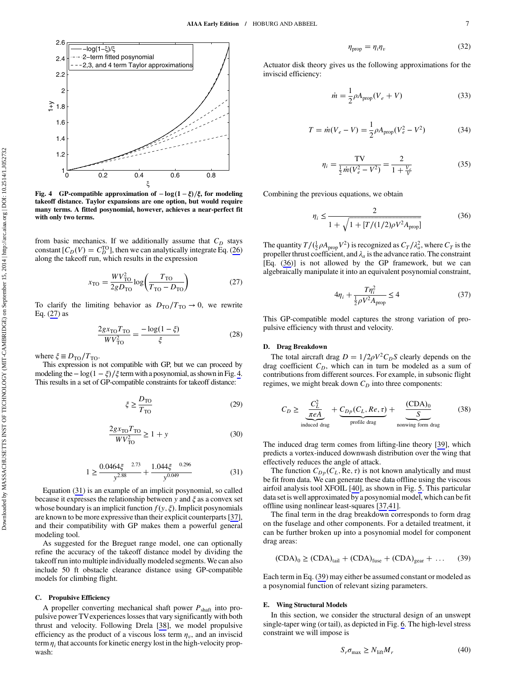

Fig. 4 GP-compatible approximation of −log(1 − ξ)/ξ, for modeling<br>takeoff distance. Taylor expansions are one ontion, but would require takeoff distance. Taylor expansions are one option, but would require many terms. A fitted posynomial, however, achieves a near-perfect fit with only two terms.

from basic mechanics. If we additionally assume that  $C_D$  stays constant  $[C_D(V) = C_D^{TO}]$ , then we can analytically integrate Eq. (26) along the takeoff run, which results in the expression

$$
x_{\rm TO} = \frac{WV_{\rm TO}^2}{2gD_{\rm TO}}\log\left(\frac{T_{\rm TO}}{T_{\rm TO} - D_{\rm TO}}\right) \tag{27}
$$

To clarify the limiting behavior as  $D_{\text{TO}}/T_{\text{TO}} \rightarrow 0$ , we rewrite Eq. (27) as

$$
\frac{2gx_{\text{TO}}T_{\text{TO}}}{WV_{\text{TO}}^2} = \frac{-\log(1-\xi)}{\xi}
$$
 (28)

where  $\xi \equiv D_{\text{TO}}/T_{\text{TO}}$ .

This expression is not compatible with GP, but we can proceed by modeling the  $-\log(1-\xi)/\xi$  term with a posynomial, as shown in Fig. 4. This results in a set of GP-compatible constraints for takeoff distance:

$$
\xi \ge \frac{D_{\rm TO}}{T_{\rm TO}}\tag{29}
$$

$$
\frac{2gx_{\text{TO}}T_{\text{TO}}}{WV_{\text{TO}}^2} \ge 1 + y \tag{30}
$$

$$
1 \ge \frac{0.0464\xi^{-2.73}}{y^{2.88}} + \frac{1.044\xi^{-0.296}}{y^{0.049}}
$$
(31)

Equation (31) is an example of an implicit posynomial, so called because it expresses the relationship between *y* and ξ as a convex set whose boundary is an implicit function  $f(y, \xi)$ . Implicit posynomials are known to be more expressive than their explicit counterparts [\[37](#page-12-0)], and their compatibility with GP makes them a powerful general modeling tool.

As suggested for the Breguet range model, one can optionally refine the accuracy of the takeoff distance model by dividing the takeoff run into multiple individually modeled segments. We can also include 50 ft obstacle clearance distance using GP-compatible models for climbing flight.

#### C. Propulsive Efficiency

A propeller converting mechanical shaft power *P*shaft into propulsive power TVexperiences losses that vary significantly with both thrust and velocity. Following Drela [[38\]](#page-12-0), we model propulsive efficiency as the product of a viscous loss term  $\eta_v$ , and an inviscid term  $\eta_i$  that accounts for kinetic energy lost in the high-velocity propwash:

$$
\eta_{\text{prop}} = \eta_i \eta_v \tag{32}
$$

Actuator disk theory gives us the following approximations for the inviscid efficiency:

$$
\dot{m} = \frac{1}{2}\rho A_{\text{prop}}(V_e + V) \tag{33}
$$

$$
T = \dot{m}(V_e - V) = \frac{1}{2}\rho A_{\text{prop}}(V_e^2 - V^2)
$$
 (34)

$$
\eta_i = \frac{TV}{\frac{1}{2} \dot{m} (V_e^2 - V^2)} = \frac{2}{1 + \frac{V_e}{V}}
$$
(35)

Combining the previous equations, we obtain

$$
\eta_i \le \frac{2}{1 + \sqrt{1 + [T/(1/2)\rho V^2 A_{\text{prop}}]}}
$$
(36)

The quantity  $T/(\frac{1}{2}\rho A_{\text{prop}}V^2)$  is recognized as  $C_T/\lambda_a^2$ , where  $C_T$  is the propeller thrust coefficient, and  $\lambda_a$  is the advance ratio. The constraint [Eq. (36)] is not allowed by the GP framework, but we can algebraically manipulate it into an equivalent posynomial constraint,

$$
4\eta_i + \frac{T\eta_i^2}{\frac{1}{2}\rho V^2 A_{\text{prop}}} \le 4\tag{37}
$$

This GP-compatible model captures the strong variation of propulsive efficiency with thrust and velocity.

#### D. Drag Breakdown

The total aircraft drag  $D = 1/2\rho V^2 C_D S$  clearly depends on the drag coefficient  $C_D$ , which can in turn be modeled as a sum of contributions from different sources. For example, in subsonic flight regimes, we might break down  $C_D$  into three components:

$$
C_D \ge \underbrace{\frac{C_L^2}{\pi eA}}_{\text{induced drag}} + \underbrace{C_{DP}(C_L, Re, \tau)}_{\text{profile drag}} + \underbrace{\frac{(CDA)_0}{S}}_{\text{nonwing form drag}} \tag{38}
$$

The induced drag term comes from lifting-line theory [[39\]](#page-12-0), which predicts a vortex-induced downwash distribution over the wing that effectively reduces the angle of attack.

The function  $C_{Dp}(C_L, \text{Re}, \tau)$  is not known analytically and must be fit from data. We can generate these data offline using the viscous airfoil analysis tool XFOIL [[40\]](#page-12-0), as shown in Fig. [5](#page-7-0). This particular data set is well approximated by a posynomial model, which can be fit offline using nonlinear least-squares [\[37,41](#page-12-0)].

The final term in the drag breakdown corresponds to form drag on the fuselage and other components. For a detailed treatment, it can be further broken up into a posynomial model for component drag areas:

$$
(CDA)0 \ge (CDA)tail + (CDA)fuse + (CDA)gear + ...
$$
 (39)

Each term in Eq. (39) may either be assumed constant or modeled as a posynomial function of relevant sizing parameters.

#### E. Wing Structural Models

In this section, we consider the structural design of an unswept single-taper wing (or tail), as depicted in Fig. [6.](#page-7-0) The high-level stress constraint we will impose is

$$
S_r \sigma_{\text{max}} \ge N_{\text{lift}} M_r \tag{40}
$$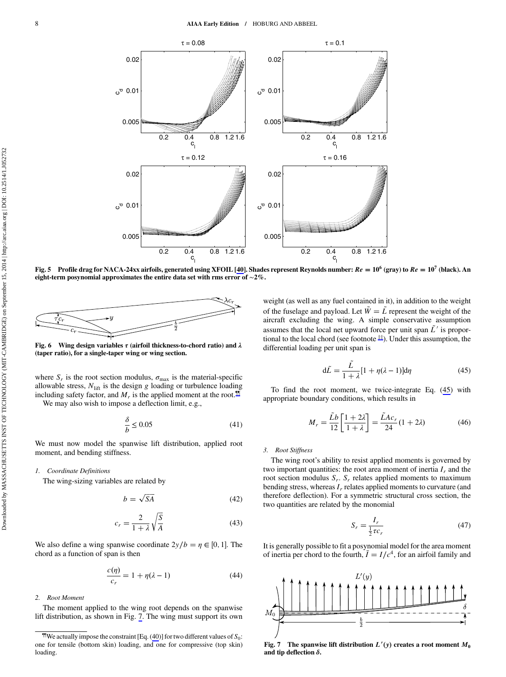<span id="page-7-0"></span>

Fig. 5 Profile drag for NACA-24xx airfoils, generated using XFOIL [[40\]](#page-12-0). Shades represent Reynolds number:  $Re = 10^6$  (gray) to  $Re = 10^7$  (black). An eight-term posynomial approximates the entire data set with rms error of <sup>∼</sup>2%.



Fig. 6 Wing design variables  $\tau$  (airfoil thickness-to-chord ratio) and  $\lambda$ (taper ratio), for a single-taper wing or wing section.

where  $S_r$  is the root section modulus,  $\sigma_{\text{max}}$  is the material-specific allowable stress,  $N_{\text{lift}}$  is the design  $g$  loading or turbulence loading including safety factor, and  $M_r$  is the applied moment at the root.<sup> $\blacksquare$ </sup> We may also wish to impose a deflection limit, e.g.,

$$
\frac{\delta}{b} \le 0.05\tag{41}
$$

We must now model the spanwise lift distribution, applied root moment, and bending stiffness.

#### 1. Coordinate Definitions

The wing-sizing variables are related by

$$
b = \sqrt{SA} \tag{42}
$$

$$
c_r = \frac{2}{1+\lambda} \sqrt{\frac{S}{A}}
$$
 (43)

We also define a wing spanwise coordinate  $2y/b = \eta \in [0, 1]$ . The chord as a function of span is then

$$
\frac{c(\eta)}{c_r} = 1 + \eta(\lambda - 1) \tag{44}
$$

#### 2. Root Moment

The moment applied to the wing root depends on the spanwise lift distribution, as shown in Fig. 7. The wing must support its own weight (as well as any fuel contained in it), in addition to the weight of the fuselage and payload. Let  $\tilde{W} = \tilde{L}$  represent the weight of the aircraft excluding the wing. A simple conservative assumption assumes that the local net upward force per unit span  $\tilde{L}^{\prime}$  is proportional to the local chord (see footnote [‡‡](#page-5-0)). Under this assumption, the differential loading per unit span is

$$
d\tilde{L} = \frac{\tilde{L}}{1+\lambda} [1 + \eta(\lambda - 1)] d\eta
$$
 (45)

To find the root moment, we twice-integrate Eq. (45) with appropriate boundary conditions, which results in

$$
M_r = \frac{\tilde{L}b}{12} \left[ \frac{1+2\lambda}{1+\lambda} \right] = \frac{\tilde{L}Ac_r}{24} (1+2\lambda)
$$
 (46)

#### 3. Root Stiffness

The wing root's ability to resist applied moments is governed by two important quantities: the root area moment of inertia  $I_r$  and the root section modulus *S<sub>r</sub>*. *S<sub>r</sub>* relates applied moments to maximum bending stress, whereas  $I_r$  relates applied moments to curvature (and therefore deflection). For a symmetric structural cross section, the two quantities are related by the monomial

$$
S_r = \frac{I_r}{\frac{1}{2}\tau c_r} \tag{47}
$$

It is generally possible to fit a posynomial model for the area moment of inertia per chord to the fourth,  $\overline{I} = I/c^4$ , for an airfoil family and



Fig. 7 The spanwise lift distribution  $L'(y)$  creates a root moment  $M_0$ <br>and tip deflection  $\delta$ and tip deflection  $\delta$ .

 $^{\text{th}}$ We actually impose the constraint [Eq. (40)] for two different values of  $S_0$ : one for tensile (bottom skin) loading, and one for compressive (top skin) loading.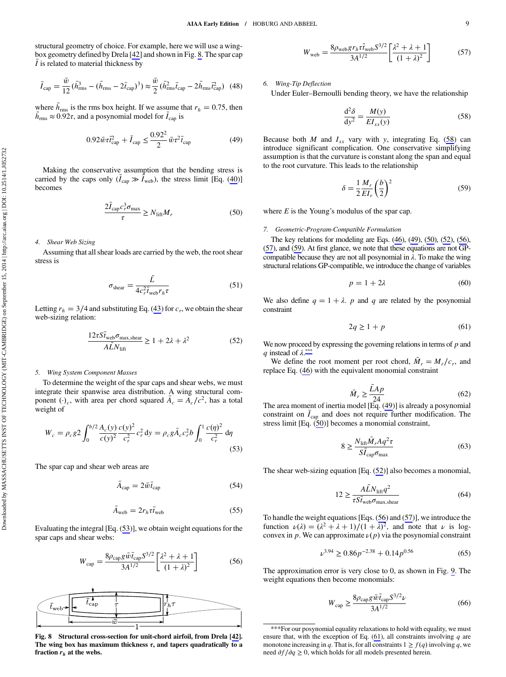<span id="page-8-0"></span>structural geometry of choice. For example, here we will use a wingbox geometry defined by Drela [[42\]](#page-12-0) and shown in Fig. 8. The spar cap  $\bar{I}$  is related to material thickness by

$$
\bar{I}_{\text{cap}} = \frac{\bar{w}}{12} (\bar{h}_{\text{rms}}^3 - (\bar{h}_{\text{rms}} - 2\bar{t}_{\text{cap}})^3) \approx \frac{\bar{w}}{2} (\bar{h}_{\text{rms}}^2 \bar{t}_{\text{cap}} - 2\bar{h}_{\text{rms}} \bar{t}_{\text{cap}}^2) \tag{48}
$$

where  $\bar{h}_{\text{rms}}$  is the rms box height. If we assume that  $r_h = 0.75$ , then  $\bar{h}_{\rm rms} \approx 0.92\tau$ , and a posynomial model for  $\bar{I}_{\rm cap}$  is

$$
0.92\bar{w}\tau_{\text{cap}}^2 + \bar{I}_{\text{cap}} \le \frac{0.92^2}{2}\bar{w}\tau^2 \bar{t}_{\text{cap}} \tag{49}
$$

Making the conservative assumption that the bending stress is carried by the caps only  $(\bar{I}_{cap} \gg \hat{I}_{web})$ , the stress limit [Eq. (40)] becomes

$$
\frac{2\bar{I}_{\text{cap}}c_r^3 \sigma_{\text{max}}}{\tau} \ge N_{\text{lift}} M_r \tag{50}
$$

#### 4. Shear Web Sizing

Assuming that all shear loads are carried by the web, the root shear stress is

$$
\sigma_{\text{shear}} = \frac{\tilde{L}}{4c_r^2 \bar{t}_{\text{web}} r_h \tau} \tag{51}
$$

Letting  $r_h = 3/4$  and substituting Eq. (43) for  $c_r$ , we obtain the shear web-sizing relation:

$$
\frac{12\tau S\bar{t}_{\text{web}}\sigma_{\text{max,shear}}}{A\tilde{L}N_{\text{lift}}} \ge 1 + 2\lambda + \lambda^2 \tag{52}
$$

# 5. Wing System Component Masses

To determine the weight of the spar caps and shear webs, we must integrate their spanwise area distribution. A wing structural component  $(\cdot)_c$ , with area per chord squared  $\bar{A}_c = \bar{A}_c/c^2$ , has a total weight of

$$
W_c = \rho_c g^2 \int_0^{b/2} \frac{A_c(y)}{c(y)^2} \frac{c(y)^2}{c_r^2} c_r^2 dy = \rho_c g \bar{A}_c c_r^2 b \int_0^1 \frac{c(\eta)^2}{c_r^2} d\eta
$$
\n(53)

The spar cap and shear web areas are

$$
\bar{A}_{\text{cap}} = 2\bar{w}\bar{t}_{\text{cap}}\tag{54}
$$

$$
\bar{A}_{\text{web}} = 2r_h \tau \bar{t}_{\text{web}} \tag{55}
$$

Evaluating the integral [Eq. (53)], we obtain weight equations for the spar caps and shear webs:

$$
W_{\rm cap} = \frac{8\rho_{\rm cap} g \bar{w} \bar{t}_{\rm cap} S^{3/2}}{3A^{1/2}} \left[ \frac{\lambda^2 + \lambda + 1}{(1 + \lambda)^2} \right]
$$
(56)



Fig. 8 Structural cross-section for unit-chord airfoil, from Drela [\[42](#page-12-0)]. The wing box has maximum thickness  $\tau$ , and tapers quadratically to a fraction  $r<sub>h</sub>$  at the webs.

$$
W_{\text{web}} = \frac{8\rho_{\text{web}}g r_h \tau \bar{t}_{\text{web}} S^{3/2}}{3A^{1/2}} \left[ \frac{\lambda^2 + \lambda + 1}{(1 + \lambda)^2} \right] \tag{57}
$$

6. Wing-Tip Deflection

Under Euler–Bernoulli bending theory, we have the relationship

$$
\frac{\mathrm{d}^2 \delta}{\mathrm{d} y^2} = \frac{M(y)}{E I_{xx}(y)}\tag{58}
$$

Because both *M* and  $I_{xx}$  vary with *y*, integrating Eq. (58) can introduce significant complication. One conservative simplifying assumption is that the curvature is constant along the span and equal to the root curvature. This leads to the relationship

$$
\delta = \frac{1}{2} \frac{M_r}{EI_r} \left(\frac{b}{2}\right)^2 \tag{59}
$$

where *E* is the Young's modulus of the spar cap.

#### 7. Geometric-Program-Compatible Formulation

The key relations for modeling are Eqs. (46), (49), (50), (52), (56), (57), and (59). At first glance, we note that these equations are not GPcompatible because they are not all posynomial in  $\lambda$ . To make the wing structural relations GP-compatible, we introduce the change of variables

$$
p = 1 + 2\lambda \tag{60}
$$

We also define  $q = 1 + \lambda$ . *p* and *q* are related by the posynomial constraint

$$
2q \ge 1 + p \tag{61}
$$

We now proceed by expressing the governing relations in terms of *p* and *q* instead of  $\lambda$ .\*\*\*

We define the root moment per root chord,  $\overline{M}_r = M_r/c_r$ , and replace Eq. (46) with the equivalent monomial constraint

$$
\bar{M}_r \ge \frac{\tilde{L}Ap}{24} \tag{62}
$$

 $M_r \ge \frac{24}{24}$  (62)<br>The area moment of inertia model [Eq. (49)] is already a posynomial constraint on  $\bar{I}_{cap}$  and does not require further modification. The stress limit [Eq. (50)] becomes a monomial constraint,

$$
8 \ge \frac{N_{\text{lift}} \bar{M}_r A q^2 \tau}{S \bar{I}_{\text{cap}} \sigma_{\text{max}}} \tag{63}
$$

The shear web-sizing equation [Eq. (52)] also becomes a monomial,

$$
12 \ge \frac{A\tilde{L}N_{\text{lift}}q^2}{\tau S\bar{t}_{\text{web}}\sigma_{\text{max},\text{shear}}}
$$
(64)

To handle the weight equations [Eqs. (56) and (57)], we introduce the function  $\nu(\lambda) = (\lambda^2 + \lambda + 1)/(1 + \lambda)^2$ , and note that  $\nu$  is logconvex in *p*. We can approximate  $\nu(p)$  via the posynomial constraint

$$
\nu^{3.94} \ge 0.86p^{-2.38} + 0.14p^{0.56} \tag{65}
$$

The approximation error is very close to 0, as shown in Fig. [9.](#page-9-0) The weight equations then become monomials:

$$
W_{\text{cap}} \ge \frac{8\rho_{\text{cap}} g \bar{w} \bar{t}_{\text{cap}} S^{3/2} \nu}{3A^{1/2}}
$$
\n(66)

<sup>\*\*\*</sup>For our posynomial equality relaxations to hold with equality, we must ensure that, with the exception of Eq. (61), all constraints involving *q* are monotone increasing in *q*. That is, for all constraints  $1 \ge f(q)$  involving *q*, we need ∂*f*∕∂*q* ≥ 0, which holds for all models presented herein.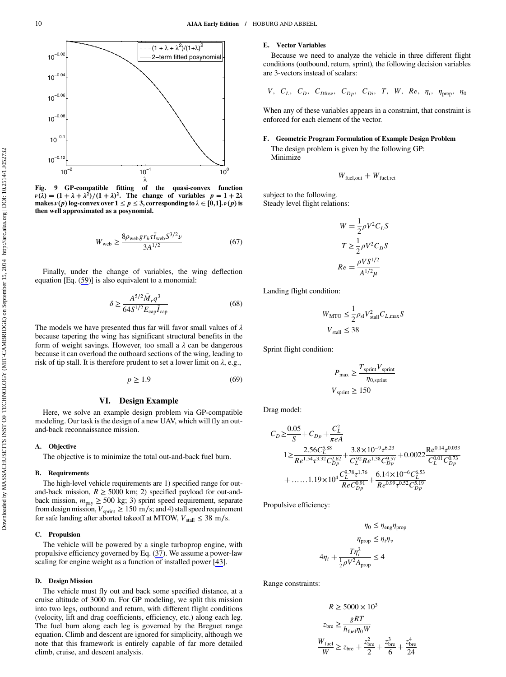<span id="page-9-0"></span>

Fig. 9 GP-compatible fitting of the quasi-convex function  $\nu(\lambda) = (1 + \lambda + \lambda^2)/(1 + \lambda)^2$ . The change of variables  $p = 1 + 2\lambda$ <br>makes  $\nu(n)$  log-convex over  $1 \le n \le 3$ , corresponding to  $\lambda \in [0, 1]$ ,  $\nu(n)$  is makes  $\nu(p)$  log-convex over  $1 \le p \le 3$ , corresponding to  $\lambda \in [0,1]$ ,  $\nu(p)$  is<br>then well annroximated as a nosynomial. then well approximated as a posynomial.

$$
W_{\rm web} \ge \frac{8\rho_{\rm web} gr_h \tau \bar{t}_{\rm web} S^{3/2} \nu}{3A^{1/2}} \tag{67}
$$

Finally, under the change of variables, the wing deflection equation [Eq. (59)] is also equivalent to a monomial:

$$
\delta \ge \frac{A^{5/2}\bar{M}_r q^3}{64S^{1/2}E_{\text{cap}}\bar{I}_{\text{cap}}}
$$
\n(68)

The models we have presented thus far will favor small values of  $\lambda$ because tapering the wing has significant structural benefits in the form of weight savings. However, too small a  $\lambda$  can be dangerous because it can overload the outboard sections of the wing, leading to risk of tip stall. It is therefore prudent to set a lower limit on  $\lambda$ , e.g.,

$$
p \ge 1.9\tag{69}
$$

### VI. Design Example

Here, we solve an example design problem via GP-compatible modeling. Our task is the design of a new UAV, which will fly an outand-back reconnaissance mission.

# A. Objective

The objective is to minimize the total out-and-back fuel burn.

#### B. Requirements

The high-level vehicle requirements are 1) specified range for outand-back mission,  $R \ge 5000$  km; 2) specified payload for out-andback mission,  $m_{\text{pay}} \ge 500 \text{ kg}$ ; 3) sprint speed requirement, separate from design mission,  $V_{\text{sprint}} \ge 150 \text{ m/s}$ ; and 4) stall speed requirement for safe landing after aborted takeoff at MTOW,  $V_{\text{stall}} \leq 38 \text{ m/s}$ .

#### C. Propulsion

The vehicle will be powered by a single turboprop engine, with propulsive efficiency governed by Eq. (37). We assume a power-law scaling for engine weight as a function of installed power [\[43](#page-12-0)].

#### D. Design Mission

The vehicle must fly out and back some specified distance, at a cruise altitude of 3000 m. For GP modeling, we split this mission into two legs, outbound and return, with different flight conditions (velocity, lift and drag coefficients, efficiency, etc.) along each leg. The fuel burn along each leg is governed by the Breguet range equation. Climb and descent are ignored for simplicity, although we note that this framework is entirely capable of far more detailed climb, cruise, and descent analysis.

# E. Vector Variables

Because we need to analyze the vehicle in three different flight conditions (outbound, return, sprint), the following decision variables are 3-vectors instead of scalars:

V, 
$$
C_L
$$
,  $C_D$ ,  $C_{Dfuse}$ ,  $C_{Dp}$ ,  $C_{Di}$ , T, W, Re,  $\eta_i$ ,  $\eta_{prop}$ ,  $\eta_0$ 

When any of these variables appears in a constraint, that constraint is enforced for each element of the vector.

# F. Geometric Program Formulation of Example Design Problem

The design problem is given by the following GP: Minimize

$$
W_{\text{fuel,out}} + W_{\text{fuel,ret}}
$$

subject to the following. Steady level flight relations:

$$
W = \frac{1}{2}\rho V^2 C_L S
$$

$$
T \ge \frac{1}{2}\rho V^2 C_D S
$$

$$
Re = \frac{\rho V S^{1/2}}{A^{1/2} \mu}
$$

Landing flight condition:

$$
W_{\text{MTO}} \le \frac{1}{2} \rho_{\text{sl}} V_{\text{stall}}^2 C_{L, \text{max}} S
$$
  

$$
V_{\text{stall}} \le 38
$$

Sprint flight condition:

$$
P_{\text{max}} \ge \frac{T_{\text{sprint}} V_{\text{sprint}}}{\eta_{0,\text{sprint}}}
$$

$$
V_{\text{sprint}} \ge 150
$$

Drag model:

$$
C_D \geq \frac{0.05}{S} + C_{Dp} + \frac{C_L^2}{\pi e A}
$$
  
\n
$$
1 \geq \frac{2.56 C_L^{5.88}}{Re^{1.54} \tau^{3.32} C_{Dp}^{2.62}} + \frac{3.8 \times 10^{-9} \tau^{6.23}}{C_L^{92} Re^{1.38} C_{Dp}^{9.57}} + 0.0022 \frac{Re^{0.14} \tau^{0.033}}{C_L^{0.01} C_{Dp}^{0.73}}
$$
  
\n
$$
+ \dots 1.19 \times 10^4 \frac{C_L^{9.78} \tau^{1.76}}{Re^{0.99} \tau^{0.92}} + \frac{6.14 \times 10^{-6} C_L^{6.53}}{Re^{0.99} \tau^{0.52} C_{Dp}^{5.19}}
$$

Propulsive efficiency:

$$
\eta_0 \le \eta_{\text{eng}} \eta_{\text{prop}}
$$

$$
\eta_{\text{prop}} \le \eta_i \eta_v
$$

$$
\eta_{\text{prop}} \le \eta_i \eta_v
$$

$$
\eta_i + \frac{T\eta_i^2}{\frac{1}{2}\rho V^2 A_{\text{prop}}} \le 4
$$

Range constraints:

4η*<sup>i</sup>* -

$$
R \ge 5000 \times 10^3
$$
  
\n
$$
z_{\text{bre}} \ge \frac{gRT}{h_{\text{fuel}} \eta_0 W}
$$
  
\n
$$
\frac{W_{\text{fuel}}}{W} \ge z_{\text{bre}} + \frac{z_{\text{bre}}^2}{2} + \frac{z_{\text{bre}}^3}{6} + \frac{z_{\text{bre}}^4}{24}
$$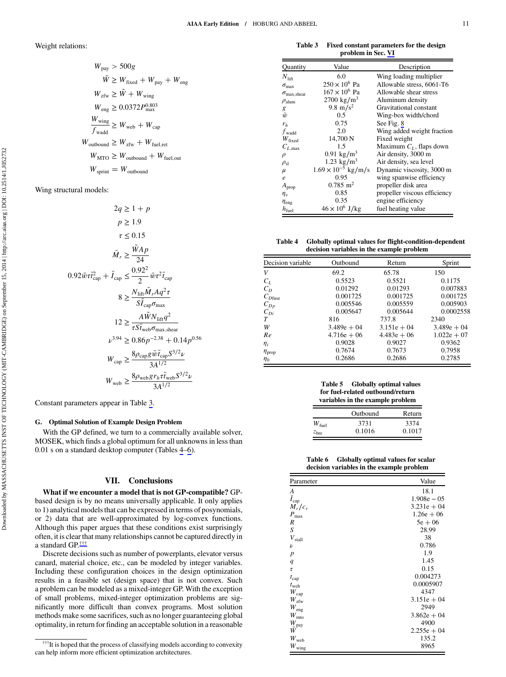Weight relations:

$$
W_{\text{pay}} > 500g
$$
  
\n
$$
\tilde{W} \ge W_{\text{fixed}} + W_{\text{pay}} + W_{\text{eng}}
$$
  
\n
$$
W_{\text{zfw}} \ge \tilde{W} + W_{\text{wing}}
$$
  
\n
$$
W_{\text{eng}} \ge 0.0372P_{\text{max}}^{0.803}
$$
  
\n
$$
\frac{W_{\text{wing}}}{f_{\text{wadd}}} \ge W_{\text{web}} + W_{\text{cap}}
$$
  
\n
$$
W_{\text{outbound}} \ge W_{\text{zfw}} + W_{\text{fuel,cut}}
$$
  
\n
$$
W_{\text{MTO}} \ge W_{\text{outbound}} + W_{\text{fuel,out}}
$$
  
\n
$$
W_{\text{spring}} = W_{\text{outbound}}
$$

Wing structural models:

$$
2q \ge 1 + p
$$
  
\n
$$
p \ge 1.9
$$
  
\n
$$
\tau \le 0.15
$$
  
\n
$$
\bar{M}_r \ge \frac{\tilde{W}Ap}{24}
$$
  
\n
$$
0.92\bar{w}\tau_{cap}^2 + \bar{I}_{cap} \le \frac{0.92^2}{2}\bar{w}\tau^2\bar{t}_{cap}
$$
  
\n
$$
8 \ge \frac{N_{\text{lift}}\bar{M}_rAq^2\tau}{S\bar{I}_{cap}\sigma_{max}}
$$
  
\n
$$
12 \ge \frac{A\tilde{W}N_{\text{lift}}q^2}{\tau S\bar{I}_{\text{web}}\sigma_{max,\text{shear}}}
$$
  
\n
$$
\nu^{3.94} \ge 0.86p^{-2.38} + 0.14p^{0.56}
$$
  
\n
$$
W_{cap} \ge \frac{8\rho_{cap}g\bar{w}\bar{t}_{cap}S^{3/2}\nu}{3A^{1/2}}
$$
  
\n
$$
W_{web} \ge \frac{8\rho_{web}g\bar{r}_{h}\tau\bar{t}_{web}S^{3/2}\nu}{3A^{1/2}}
$$

Constant parameters appear in Table 3.

# G. Optimal Solution of Example Design Problem

With the GP defined, we turn to a commercially available solver, MOSEK, which finds a global optimum for all unknowns in less than 0.01 s on a standard desktop computer (Tables 4–6).

# VII. Conclusions

What if we encounter a model that is not GP-compatible? GPbased design is by no means universally applicable. It only applies to 1) analytical models that can be expressed in terms of posynomials, or 2) data that are well-approximated by log-convex functions. Although this paper argues that these conditions exist surprisingly often, it is clear that many relationships cannot be captured directly in a standard GP.†††

Discrete decisions such as number of powerplants, elevator versus canard, material choice, etc., can be modeled by integer variables. Including these configuration choices in the design optimization results in a feasible set (design space) that is not convex. Such a problem can be modeled as a mixed-integer GP. With the exception of small problems, mixed-integer optimization problems are significantly more difficult than convex programs. Most solution methods make some sacrifices, such as no longer guaranteeing global optimality, in return for finding an acceptable solution in a reasonable

Table 3 Fixed constant parameters for the design problem in Sec. [VI](#page-9-0)

| Quantity                    | Value                        | Description                  |
|-----------------------------|------------------------------|------------------------------|
| $N_{\text{lift}}$           | 6.0                          | Wing loading multiplier      |
| $\sigma_{\text{max}}$       | $250 \times 10^6$ Pa         | Allowable stress, 6061-T6    |
| $\sigma_{\text{max,shear}}$ | $167 \times 10^6$ Pa         | Allowable shear stress       |
| $\rho_{\text{alum}}$        | 2700 kg/m <sup>3</sup>       | Aluminum density             |
| g                           | 9.8 m/s <sup>2</sup>         | Gravitational constant       |
| $\bar{w}$                   | 0.5                          | Wing-box width/chord         |
| $r_h$                       | 0.75                         | See Fig. 8                   |
| $f_{\text{wadd}}$           | 2.0                          | Wing added weight fraction   |
| $W_{\text{fixed}}$          | 14,700 N                     | Fixed weight                 |
| $C_{L,\text{max}}$          | 1.5                          | Maximum $C_L$ , flaps down   |
| $\rho$                      | 0.91 kg/m <sup>3</sup>       | Air density, 3000 m          |
| $\rho_{sl}$                 | 1.23 kg/m <sup>3</sup>       | Air density, sea level       |
| $\mu$                       | $1.69 \times 10^{-5}$ kg/m/s | Dynamic viscosity, 3000 m    |
| $\boldsymbol{e}$            | 0.95                         | wing spanwise efficiency     |
| $A_{\text{prop}}$           | $0.785$ m <sup>2</sup>       | propeller disk area          |
| $\eta_v$                    | 0.85                         | propeller viscous efficiency |
| $\eta_{\rm eng}$            | 0.35                         | engine efficiency            |
| $h_{\text{fuel}}$           | $46 \times 10^6$ J/kg        | fuel heating value           |

Table 4 Globally optimal values for flight-condition-dependent decision variables in the example problem

| Decision variable    | Outbound      | Return        | Sprint        |
|----------------------|---------------|---------------|---------------|
| V                    | 69.2          | 65.78         | 150           |
| $C_L$                | 0.5523        | 0.5521        | 0.1175        |
| $C_D$                | 0.01292       | 0.01293       | 0.007883      |
| $C_{D$ fuse          | 0.001725      | 0.001725      | 0.001725      |
| $C_{Dp}$             | 0.005546      | 0.005559      | 0.005903      |
| $C_{Di}$             | 0.005647      | 0.005644      | 0.0002558     |
| T                    | 816           | 737.8         | 2340          |
| W                    | $3.489e + 04$ | $3.151e + 04$ | $3.489e + 04$ |
| Re                   | $4.716e + 06$ | $4.483e + 06$ | $1.022e + 07$ |
| $\eta_i$             | 0.9028        | 0.9027        | 0.9362        |
| $\eta_{\text{prop}}$ | 0.7674        | 0.7673        | 0.7958        |
| $\eta_0$             | 0.2686        | 0.2686        | 0.2785        |

| <b>Table 5</b> | <b>Globally optimal values</b>   |
|----------------|----------------------------------|
|                | for fuel-related outbound/return |
|                | variables in the example problem |

|                  | Outbound | Return |
|------------------|----------|--------|
| $W_{\rm fuel}$   | 3731     | 3374   |
| z <sub>bre</sub> | 0.1016   | 0.1017 |

Table 6 Globally optimal values for scalar decision variables in the example problem

| Parameter                              | Value         |
|----------------------------------------|---------------|
| A                                      | 18.1          |
| $\overline{\overline{I}}_{\text{cap}}$ | $1.908e - 05$ |
| $M_r/c_r$                              | $3.231e + 04$ |
| $P_{\rm max}$                          | $1.26e + 06$  |
| R                                      | $5e + 06$     |
| S                                      | 28.99         |
| $V_{\rm stall}$                        | 38            |
| $\boldsymbol{\nu}$                     | 0.786         |
| $\boldsymbol{p}$                       | 1.9           |
| q                                      | 1.45          |
| $\tau$                                 | 0.15          |
| $t_{cap}$                              | 0.004273      |
| $t_{\rm web}$                          | 0.0005907     |
| $W_{\rm cap}$                          | 4347          |
| $W_\mathrm{zfw}$                       | $3.151e + 04$ |
| $W_{\rm eng}$                          | 2949          |
| $W_{\rm mto}$                          | $3.862e + 04$ |
| $W_{\rm pay}$                          | 4900          |
| W                                      | $2.255e + 04$ |
| $W_{\rm web}$                          | 135.2         |
| $W_{\rm wing}$                         | 8965          |

<sup>&</sup>lt;sup>†††</sup>It is hoped that the process of classifying models according to convexity can help inform more efficient optimization architectures.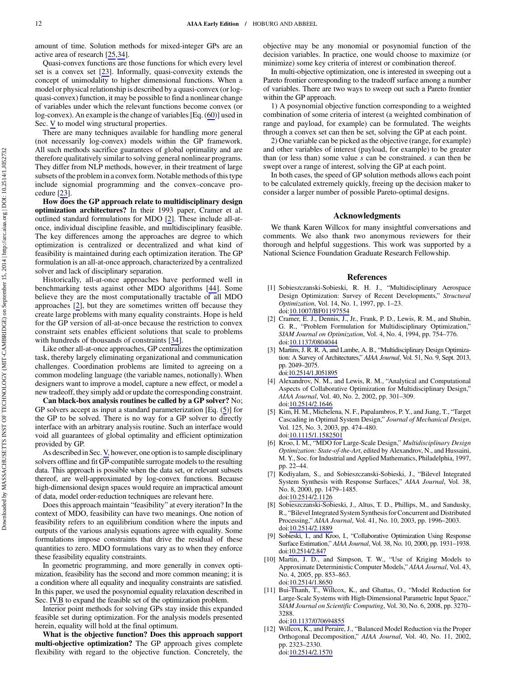<span id="page-11-0"></span>amount of time. Solution methods for mixed-integer GPs are an active area of research [[25,34\]](#page-12-0).

Quasi-convex functions are those functions for which every level set is a convex set [\[23](#page-12-0)]. Informally, quasi-convexity extends the concept of unimodality to higher dimensional functions. When a model or physical relationship is described by a quasi-convex (or logquasi-convex) function, it may be possible to find a nonlinear change of variables under which the relevant functions become convex (or log-convex). An example is the change of variables [Eq. (60)] used in Sec. [V](#page-4-0) to model wing structural properties.

There are many techniques available for handling more general (not necessarily log-convex) models within the GP framework. All such methods sacrifice guarantees of global optimality and are therefore qualitatively similar to solving general nonlinear programs. They differ from NLP methods, however, in their treatment of large subsets of the problem in a convex form. Notable methods of this type include signomial programming and the convex–concave procedure [\[23](#page-12-0)].

How does the GP approach relate to multidisciplinary design optimization architectures? In their 1993 paper, Cramer et al. outlined standard formulations for MDO [2]. These include all-atonce, individual discipline feasible, and multidisciplinary feasible. The key differences among the approaches are degree to which optimization is centralized or decentralized and what kind of feasibility is maintained during each optimization iteration. The GP formulation is an all-at-once approach, characterized by a centralized solver and lack of disciplinary separation.

Historically, all-at-once approaches have performed well in benchmarking tests against other MDO algorithms [\[44](#page-12-0)]. Some believe they are the most computationally tractable of all MDO approaches [2], but they are sometimes written off because they create large problems with many equality constraints. Hope is held for the GP version of all-at-once because the restriction to convex constraint sets enables efficient solutions that scale to problems with hundreds of thousands of constraints [[34\]](#page-12-0).

Like other all-at-once approaches, GP centralizes the optimization task, thereby largely eliminating organizational and communication challenges. Coordination problems are limited to agreeing on a common modeling language (the variable names, notionally). When designers want to improve a model, capture a new effect, or model a new tradeoff, they simply add or update the corresponding constraint.

Can black-box analysis routines be called by a GP solver? No; GP solvers accept as input a standard parameterization [Eq. (5)] for the GP to be solved. There is no way for a GP solver to directly interface with an arbitrary analysis routine. Such an interface would void all guarantees of global optimality and efficient optimization provided by GP.

As described in Sec. [V,](#page-4-0) however, one option is to sample disciplinary solvers offline and fit GP-compatible surrogate models to the resulting data. This approach is possible when the data set, or relevant subsets thereof, are well-approximated by log-convex functions. Because high-dimensional design spaces would require an impractical amount of data, model order-reduction techniques are relevant here.

Does this approach maintain "feasibility" at every iteration? In the context of MDO, feasibility can have two meanings. One notion of feasibility refers to an equilibrium condition where the inputs and outputs of the various analysis equations agree with equality. Some formulations impose constraints that drive the residual of these quantities to zero. MDO formulations vary as to when they enforce these feasibility equality constraints.

In geometric programming, and more generally in convex optimization, feasibility has the second and more common meaning; it is a condition where all equality and inequality constraints are satisfied. In this paper, we used the posynomial equality relaxation described in Sec. [IV.B](#page-4-0) to expand the feasible set of the optimization problem.

Interior point methods for solving GPs stay inside this expanded feasible set during optimization. For the analysis models presented herein, equality will hold at the final optimum.

What is the objective function? Does this approach support multi-objective optimization? The GP approach gives complete flexibility with regard to the objective function. Concretely, the objective may be any monomial or posynomial function of the decision variables. In practice, one would choose to maximize (or minimize) some key criteria of interest or combination thereof.

In multi-objective optimization, one is interested in sweeping out a Pareto frontier corresponding to the tradeoff surface among a number of variables. There are two ways to sweep out such a Pareto frontier within the GP approach.

1) A posynomial objective function corresponding to a weighted combination of some criteria of interest (a weighted combination of range and payload, for example) can be formulated. The weights through a convex set can then be set, solving the GP at each point.

2) One variable can be picked as the objective (range, for example) and other variables of interest (payload, for example) to be greater than (or less than) some value *s* can be constrained. *s* can then be swept over a range of interest, solving the GP at each point.

In both cases, the speed of GP solution methods allows each point to be calculated extremely quickly, freeing up the decision maker to consider a larger number of possible Pareto-optimal designs.

#### Acknowledgments

We thank Karen Willcox for many insightful conversations and comments. We also thank two anonymous reviewers for their thorough and helpful suggestions. This work was supported by a National Science Foundation Graduate Research Fellowship.

#### References

- [1] Sobieszczanski-Sobieski, R. H. J., "Multidisciplinary Aerospace Design Optimization: Survey of Recent Developments," Structural Optimization, Vol. 14, No. 1, 1997, pp. 1–23. doi:[10.1007/BF01197554](http://dx.doi.org/10.1007/BF01197554)
- [2] Cramer, E. J., Dennis, J., Jr., Frank, P. D., Lewis, R. M., and Shubin, G. R., "Problem Formulation for Multidisciplinary Optimization," SIAM Journal on Optimization, Vol. 4, No. 4, 1994, pp. 754–776. doi:[10.1137/0804044](http://dx.doi.org/10.1137/0804044)
- [3] Martins, J. R. R. A, and Lambe, A. B., "Multidisciplinary Design Optimization: A Survey of Architectures," AIAA Journal, Vol. 51, No. 9, Sept. 2013, pp. 2049–2075. doi:[10.2514/1.J051895](http://dx.doi.org/10.2514/1.J051895)
- [4] Alexandrov, N. M., and Lewis, R. M., "Analytical and Computational Aspects of Collaborative Optimization for Multidisciplinary Design," AIAA Journal, Vol. 40, No. 2, 2002, pp. 301–309. doi:[10.2514/2.1646](http://dx.doi.org/10.2514/2.1646)
- [5] Kim, H. M., Michelena, N. F., Papalambros, P. Y., and Jiang, T., "Target Cascading in Optimal System Design," Journal of Mechanical Design, Vol. 125, No. 3, 2003, pp. 474–480. doi:[10.1115/1.1582501](http://dx.doi.org/10.1115/1.1582501)
- [6] Kroo, I. M., "MDO for Large-Scale Design," Multidisciplinary Design Optimization: State-of-the-Art, edited by Alexandrov, N., and Hussaini, M. Y., Soc. for Industrial and Applied Mathematics, Philadelphia, 1997, pp. 22–44.
- [7] Kodiyalam, S., and Sobieszczanski-Sobieski, J., "Bilevel Integrated System Synthesis with Response Surfaces," AIAA Journal, Vol. 38, No. 8, 2000, pp. 1479–1485. doi:[10.2514/2.1126](http://dx.doi.org/10.2514/2.1126)
- [8] Sobieszczanski-Sobieski, J., Altus, T. D., Phillips, M., and Sandusky, R., "Bilevel Integrated System Synthesis for Concurrent and Distributed Processing," AIAA Journal, Vol. 41, No. 10, 2003, pp. 1996–2003. doi:[10.2514/2.1889](http://dx.doi.org/10.2514/2.1889)
- [9] Sobieski, I., and Kroo, I., "Collaborative Optimization Using Response Surface Estimation," AIAA Journal, Vol. 38, No. 10, 2000, pp. 1931–1938. doi[:10.2514/2.847](http://dx.doi.org/10.2514/2.847)
- [10] Martin, J. D., and Simpson, T. W., "Use of Kriging Models to Approximate Deterministic Computer Models," AIAA Journal, Vol. 43, No. 4, 2005, pp. 853–863. doi:[10.2514/1.8650](http://dx.doi.org/10.2514/1.8650)
- [11] Bui-Thanh, T., Willcox, K., and Ghattas, O., "Model Reduction for Large-Scale Systems with High-Dimensional Parametric Input Space," SIAM Journal on Scientific Computing, Vol. 30, No. 6, 2008, pp. 3270– 3288. doi:[10.1137/070694855](http://dx.doi.org/10.1137/070694855)
- [12] Willcox, K., and Peraire, J., "Balanced Model Reduction via the Proper Orthogonal Decomposition," AIAA Journal, Vol. 40, No. 11, 2002, pp. 2323–2330. doi:[10.2514/2.1570](http://dx.doi.org/10.2514/2.1570)